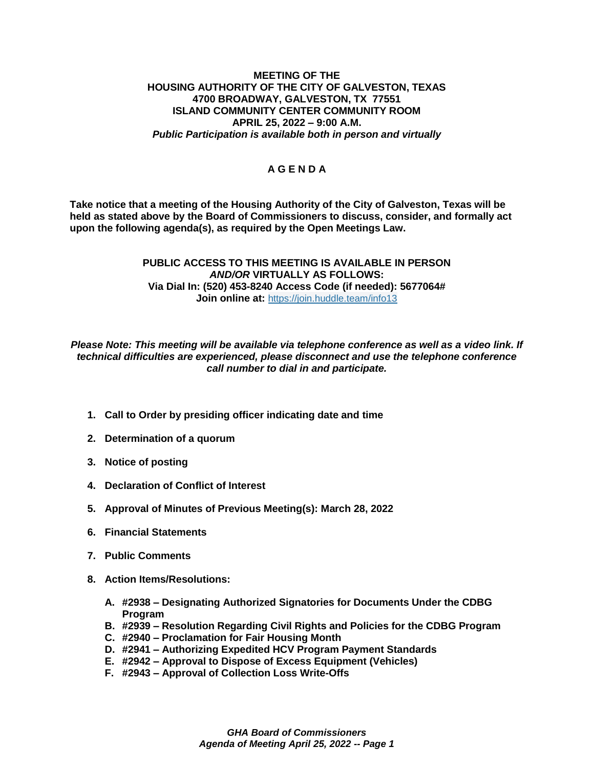## **MEETING OF THE HOUSING AUTHORITY OF THE CITY OF GALVESTON, TEXAS 4700 BROADWAY, GALVESTON, TX 77551 ISLAND COMMUNITY CENTER COMMUNITY ROOM APRIL 25, 2022 – 9:00 A.M.** *Public Participation is available both in person and virtually*

## **A G E N D A**

**Take notice that a meeting of the Housing Authority of the City of Galveston, Texas will be held as stated above by the Board of Commissioners to discuss, consider, and formally act upon the following agenda(s), as required by the Open Meetings Law.** 

## **PUBLIC ACCESS TO THIS MEETING IS AVAILABLE IN PERSON**  *AND/OR* **VIRTUALLY AS FOLLOWS: Via Dial In: (520) 453-8240 Access Code (if needed): 5677064# Join online at:** <https://join.huddle.team/info13>

*Please Note: This meeting will be available via telephone conference as well as a video link. If technical difficulties are experienced, please disconnect and use the telephone conference call number to dial in and participate.*

- **1. Call to Order by presiding officer indicating date and time**
- **2. Determination of a quorum**
- **3. Notice of posting**
- **4. Declaration of Conflict of Interest**
- **5. Approval of Minutes of Previous Meeting(s): March 28, 2022**
- **6. Financial Statements**
- **7. Public Comments**
- **8. Action Items/Resolutions:**
	- **A. #2938 – Designating Authorized Signatories for Documents Under the CDBG Program**
	- **B. #2939 – Resolution Regarding Civil Rights and Policies for the CDBG Program**
	- **C. #2940 – Proclamation for Fair Housing Month**
	- **D. #2941 – Authorizing Expedited HCV Program Payment Standards**
	- **E. #2942 – Approval to Dispose of Excess Equipment (Vehicles)**
	- **F. #2943 – Approval of Collection Loss Write-Offs**